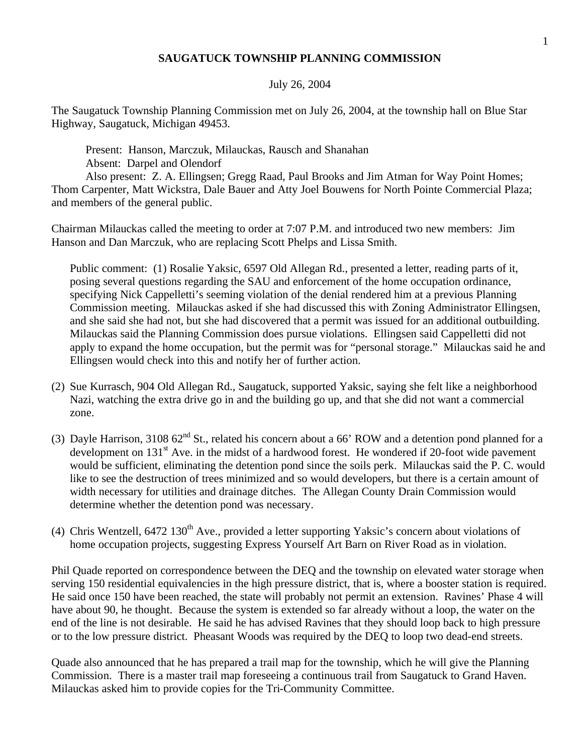## **SAUGATUCK TOWNSHIP PLANNING COMMISSION**

## July 26, 2004

The Saugatuck Township Planning Commission met on July 26, 2004, at the township hall on Blue Star Highway, Saugatuck, Michigan 49453.

Present: Hanson, Marczuk, Milauckas, Rausch and Shanahan Absent: Darpel and Olendorf

Also present: Z. A. Ellingsen; Gregg Raad, Paul Brooks and Jim Atman for Way Point Homes; Thom Carpenter, Matt Wickstra, Dale Bauer and Atty Joel Bouwens for North Pointe Commercial Plaza; and members of the general public.

Chairman Milauckas called the meeting to order at 7:07 P.M. and introduced two new members: Jim Hanson and Dan Marczuk, who are replacing Scott Phelps and Lissa Smith.

Public comment: (1) Rosalie Yaksic, 6597 Old Allegan Rd., presented a letter, reading parts of it, posing several questions regarding the SAU and enforcement of the home occupation ordinance, specifying Nick Cappelletti's seeming violation of the denial rendered him at a previous Planning Commission meeting. Milauckas asked if she had discussed this with Zoning Administrator Ellingsen, and she said she had not, but she had discovered that a permit was issued for an additional outbuilding. Milauckas said the Planning Commission does pursue violations. Ellingsen said Cappelletti did not apply to expand the home occupation, but the permit was for "personal storage." Milauckas said he and Ellingsen would check into this and notify her of further action.

- (2) Sue Kurrasch, 904 Old Allegan Rd., Saugatuck, supported Yaksic, saying she felt like a neighborhood Nazi, watching the extra drive go in and the building go up, and that she did not want a commercial zone.
- (3) Dayle Harrison, 3108  $62^{nd}$  St., related his concern about a 66' ROW and a detention pond planned for a development on 131<sup>st</sup> Ave. in the midst of a hardwood forest. He wondered if 20-foot wide pavement would be sufficient, eliminating the detention pond since the soils perk. Milauckas said the P. C. would like to see the destruction of trees minimized and so would developers, but there is a certain amount of width necessary for utilities and drainage ditches. The Allegan County Drain Commission would determine whether the detention pond was necessary.
- (4) Chris Wentzell,  $6472$  130<sup>th</sup> Ave., provided a letter supporting Yaksic's concern about violations of home occupation projects, suggesting Express Yourself Art Barn on River Road as in violation.

Phil Quade reported on correspondence between the DEQ and the township on elevated water storage when serving 150 residential equivalencies in the high pressure district, that is, where a booster station is required. He said once 150 have been reached, the state will probably not permit an extension. Ravines' Phase 4 will have about 90, he thought. Because the system is extended so far already without a loop, the water on the end of the line is not desirable. He said he has advised Ravines that they should loop back to high pressure or to the low pressure district. Pheasant Woods was required by the DEQ to loop two dead-end streets.

Quade also announced that he has prepared a trail map for the township, which he will give the Planning Commission. There is a master trail map foreseeing a continuous trail from Saugatuck to Grand Haven. Milauckas asked him to provide copies for the Tri-Community Committee.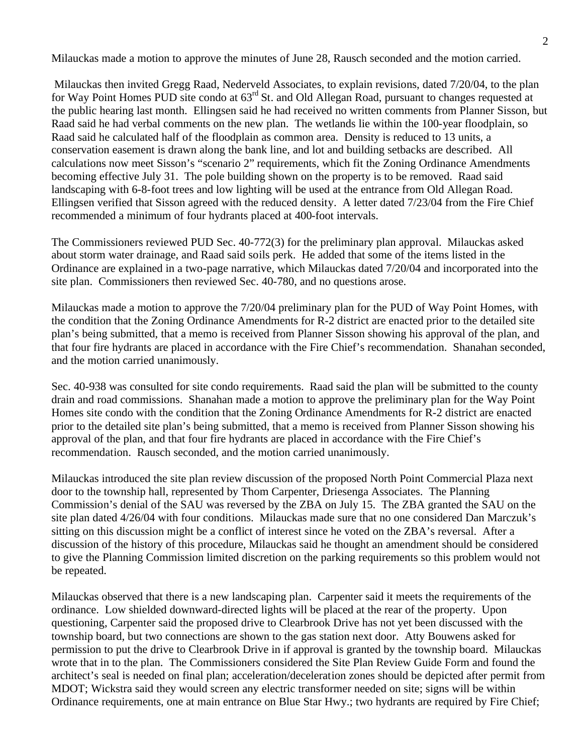Milauckas made a motion to approve the minutes of June 28, Rausch seconded and the motion carried.

 Milauckas then invited Gregg Raad, Nederveld Associates, to explain revisions, dated 7/20/04, to the plan for Way Point Homes PUD site condo at  $63^{rd}$  St. and Old Allegan Road, pursuant to changes requested at the public hearing last month. Ellingsen said he had received no written comments from Planner Sisson, but Raad said he had verbal comments on the new plan. The wetlands lie within the 100-year floodplain, so Raad said he calculated half of the floodplain as common area. Density is reduced to 13 units, a conservation easement is drawn along the bank line, and lot and building setbacks are described. All calculations now meet Sisson's "scenario 2" requirements, which fit the Zoning Ordinance Amendments becoming effective July 31. The pole building shown on the property is to be removed. Raad said landscaping with 6-8-foot trees and low lighting will be used at the entrance from Old Allegan Road. Ellingsen verified that Sisson agreed with the reduced density. A letter dated 7/23/04 from the Fire Chief recommended a minimum of four hydrants placed at 400-foot intervals.

The Commissioners reviewed PUD Sec. 40-772(3) for the preliminary plan approval. Milauckas asked about storm water drainage, and Raad said soils perk. He added that some of the items listed in the Ordinance are explained in a two-page narrative, which Milauckas dated 7/20/04 and incorporated into the site plan. Commissioners then reviewed Sec. 40-780, and no questions arose.

Milauckas made a motion to approve the 7/20/04 preliminary plan for the PUD of Way Point Homes, with the condition that the Zoning Ordinance Amendments for R-2 district are enacted prior to the detailed site plan's being submitted, that a memo is received from Planner Sisson showing his approval of the plan, and that four fire hydrants are placed in accordance with the Fire Chief's recommendation. Shanahan seconded, and the motion carried unanimously.

Sec. 40-938 was consulted for site condo requirements. Raad said the plan will be submitted to the county drain and road commissions. Shanahan made a motion to approve the preliminary plan for the Way Point Homes site condo with the condition that the Zoning Ordinance Amendments for R-2 district are enacted prior to the detailed site plan's being submitted, that a memo is received from Planner Sisson showing his approval of the plan, and that four fire hydrants are placed in accordance with the Fire Chief's recommendation. Rausch seconded, and the motion carried unanimously.

Milauckas introduced the site plan review discussion of the proposed North Point Commercial Plaza next door to the township hall, represented by Thom Carpenter, Driesenga Associates. The Planning Commission's denial of the SAU was reversed by the ZBA on July 15. The ZBA granted the SAU on the site plan dated 4/26/04 with four conditions. Milauckas made sure that no one considered Dan Marczuk's sitting on this discussion might be a conflict of interest since he voted on the ZBA's reversal. After a discussion of the history of this procedure, Milauckas said he thought an amendment should be considered to give the Planning Commission limited discretion on the parking requirements so this problem would not be repeated.

Milauckas observed that there is a new landscaping plan. Carpenter said it meets the requirements of the ordinance. Low shielded downward-directed lights will be placed at the rear of the property. Upon questioning, Carpenter said the proposed drive to Clearbrook Drive has not yet been discussed with the township board, but two connections are shown to the gas station next door. Atty Bouwens asked for permission to put the drive to Clearbrook Drive in if approval is granted by the township board. Milauckas wrote that in to the plan. The Commissioners considered the Site Plan Review Guide Form and found the architect's seal is needed on final plan; acceleration/deceleration zones should be depicted after permit from MDOT; Wickstra said they would screen any electric transformer needed on site; signs will be within Ordinance requirements, one at main entrance on Blue Star Hwy.; two hydrants are required by Fire Chief;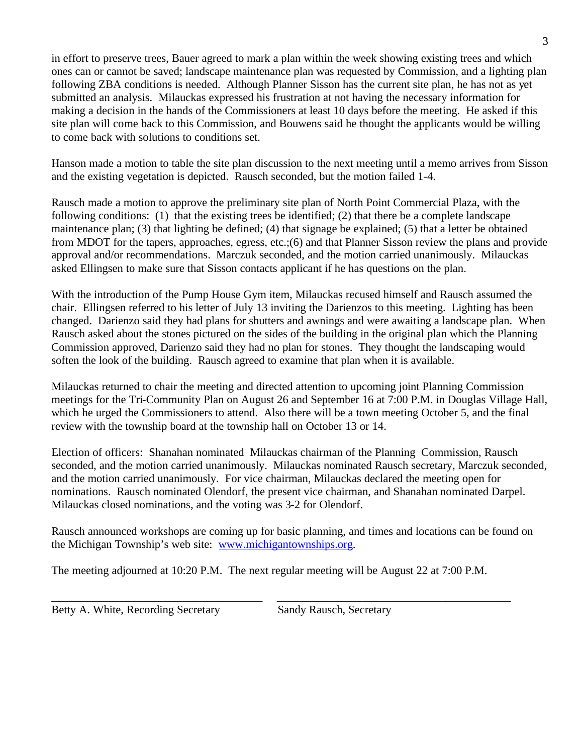in effort to preserve trees, Bauer agreed to mark a plan within the week showing existing trees and which ones can or cannot be saved; landscape maintenance plan was requested by Commission, and a lighting plan following ZBA conditions is needed. Although Planner Sisson has the current site plan, he has not as yet submitted an analysis. Milauckas expressed his frustration at not having the necessary information for making a decision in the hands of the Commissioners at least 10 days before the meeting. He asked if this site plan will come back to this Commission, and Bouwens said he thought the applicants would be willing to come back with solutions to conditions set.

Hanson made a motion to table the site plan discussion to the next meeting until a memo arrives from Sisson and the existing vegetation is depicted. Rausch seconded, but the motion failed 1-4.

Rausch made a motion to approve the preliminary site plan of North Point Commercial Plaza, with the following conditions: (1) that the existing trees be identified; (2) that there be a complete landscape maintenance plan; (3) that lighting be defined; (4) that signage be explained; (5) that a letter be obtained from MDOT for the tapers, approaches, egress, etc.;(6) and that Planner Sisson review the plans and provide approval and/or recommendations. Marczuk seconded, and the motion carried unanimously. Milauckas asked Ellingsen to make sure that Sisson contacts applicant if he has questions on the plan.

With the introduction of the Pump House Gym item, Milauckas recused himself and Rausch assumed the chair. Ellingsen referred to his letter of July 13 inviting the Darienzos to this meeting. Lighting has been changed. Darienzo said they had plans for shutters and awnings and were awaiting a landscape plan. When Rausch asked about the stones pictured on the sides of the building in the original plan which the Planning Commission approved, Darienzo said they had no plan for stones. They thought the landscaping would soften the look of the building. Rausch agreed to examine that plan when it is available.

Milauckas returned to chair the meeting and directed attention to upcoming joint Planning Commission meetings for the Tri-Community Plan on August 26 and September 16 at 7:00 P.M. in Douglas Village Hall, which he urged the Commissioners to attend. Also there will be a town meeting October 5, and the final review with the township board at the township hall on October 13 or 14.

Election of officers: Shanahan nominated Milauckas chairman of the Planning Commission, Rausch seconded, and the motion carried unanimously. Milauckas nominated Rausch secretary, Marczuk seconded, and the motion carried unanimously. For vice chairman, Milauckas declared the meeting open for nominations. Rausch nominated Olendorf, the present vice chairman, and Shanahan nominated Darpel. Milauckas closed nominations, and the voting was 3-2 for Olendorf.

Rausch announced workshops are coming up for basic planning, and times and locations can be found on the Michigan Township's web site: <www.michigantownships.org>.

The meeting adjourned at 10:20 P.M. The next regular meeting will be August 22 at 7:00 P.M.

\_\_\_\_\_\_\_\_\_\_\_\_\_\_\_\_\_\_\_\_\_\_\_\_\_\_\_\_\_\_\_\_\_\_\_\_\_ \_\_\_\_\_\_\_\_\_\_\_\_\_\_\_\_\_\_\_\_\_\_\_\_\_\_\_\_\_\_\_\_\_\_\_\_\_\_\_\_\_

Betty A. White, Recording Secretary Sandy Rausch, Secretary